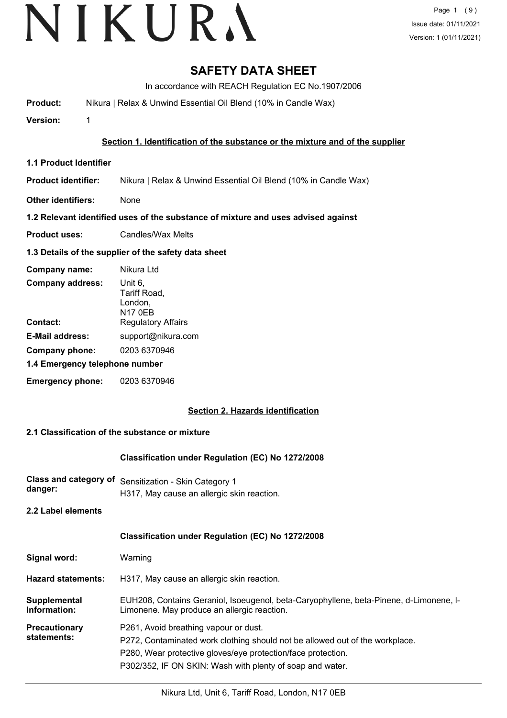# VIKURA

# **SAFETY DATA SHEET**

In accordance with REACH Regulation EC No.1907/2006

**Product:** Nikura | Relax & Unwind Essential Oil Blend (10% in Candle Wax)

**Version:** 1

### **Section 1. Identification of the substance or the mixture and of the supplier**

- **1.1 Product Identifier**
- **Product identifier:** Nikura | Relax & Unwind Essential Oil Blend (10% in Candle Wax)
- **Other identifiers:** None

### **1.2 Relevant identified uses of the substance of mixture and uses advised against**

**Product uses:** Candles/Wax Melts

### **1.3 Details of the supplier of the safety data sheet**

| Company name:                  | Nikura Ltd                                           |
|--------------------------------|------------------------------------------------------|
| <b>Company address:</b>        | Unit 6,<br>Tariff Road,<br>London,<br><b>N17 0EB</b> |
| Contact:                       | <b>Regulatory Affairs</b>                            |
| <b>E-Mail address:</b>         | support@nikura.com                                   |
| Company phone:                 | 0203 6370946                                         |
| 1.4 Emergency telephone number |                                                      |
| <b>Emergency phone:</b>        | 0203 6370946                                         |

# **Section 2. Hazards identification**

#### **2.1 Classification of the substance or mixture**

#### **Classification under Regulation (EC) No 1272/2008**

**Class and category of** Sensitization - Skin Category 1 **danger:** H317, May cause an allergic skin reaction.

**2.2 Label elements**

#### **Classification under Regulation (EC) No 1272/2008**

| Signal word: | Warning |
|--------------|---------|
|--------------|---------|

**Hazard statements:** H317, May cause an allergic skin reaction.

EUH208, Contains Geraniol, Isoeugenol, beta-Caryophyllene, beta-Pinene, d-Limonene, l-Limonene. May produce an allergic reaction. **Supplemental Information: Precautionary statements:** P261, Avoid breathing vapour or dust. P272, Contaminated work clothing should not be allowed out of the workplace.

P280, Wear protective gloves/eye protection/face protection.

P302/352, IF ON SKIN: Wash with plenty of soap and water.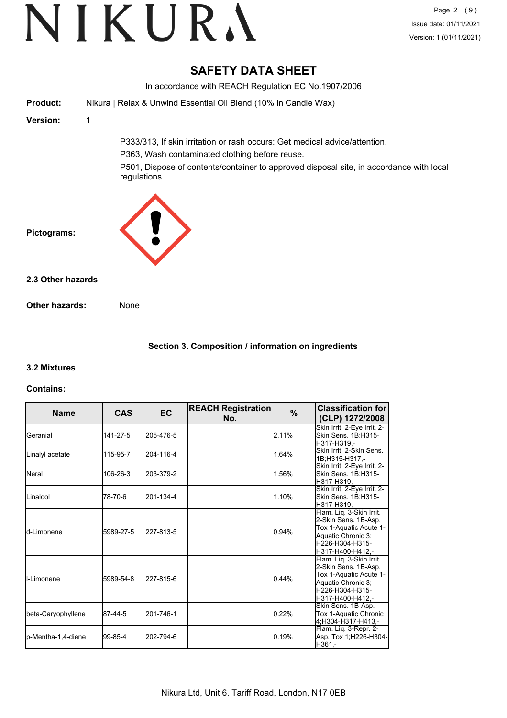# **SAFETY DATA SHEET**

In accordance with REACH Regulation EC No.1907/2006 **Product:** Nikura | Relax & Unwind Essential Oil Blend (10% in Candle Wax) **Version:** 1 P333/313, If skin irritation or rash occurs: Get medical advice/attention. P363, Wash contaminated clothing before reuse. P501, Dispose of contents/container to approved disposal site, in accordance with local regulations. **Pictograms: Other hazards:** None **2.3 Other hazards**

# **Section 3. Composition / information on ingredients**

# **3.2 Mixtures**

#### **Contains:**

| <b>Name</b>         | <b>CAS</b> | <b>EC</b> | <b>REACH Registration</b><br>No. | $\%$  | <b>Classification for</b><br>(CLP) 1272/2008                                                                                            |
|---------------------|------------|-----------|----------------------------------|-------|-----------------------------------------------------------------------------------------------------------------------------------------|
| Geranial            | 141-27-5   | 205-476-5 |                                  | 2.11% | Skin Irrit. 2-Eye Irrit. 2-<br>Skin Sens. 1B:H315-<br>H317-H319.-                                                                       |
| Linalyl acetate     | 115-95-7   | 204-116-4 |                                  | 1.64% | Skin Irrit, 2-Skin Sens.<br>1B;H315-H317.-                                                                                              |
| <b>N</b> eral       | 106-26-3   | 203-379-2 |                                  | 1.56% | Skin Irrit. 2-Eye Irrit. 2-<br>Skin Sens. 1B;H315-<br>H317-H319,-                                                                       |
| <b>Linalool</b>     | 78-70-6    | 201-134-4 |                                  | 1.10% | Skin Irrit. 2-Eye Irrit. 2-<br>Skin Sens. 1B;H315-<br> H317-H319.-                                                                      |
| <b>l</b> d-Limonene | 5989-27-5  | 227-813-5 |                                  | 0.94% | Flam. Liq. 3-Skin Irrit.<br>2-Skin Sens. 1B-Asp.<br>Tox 1-Aquatic Acute 1-<br>Aquatic Chronic 3;<br>H226-H304-H315-<br>H317-H400-H412.- |
| <b>I</b> I-Limonene | 5989-54-8  | 227-815-6 |                                  | 0.44% | Flam. Liq. 3-Skin Irrit.<br>2-Skin Sens. 1B-Asp.<br>Tox 1-Aquatic Acute 1-<br>Aquatic Chronic 3;<br>H226-H304-H315-<br>H317-H400-H412.- |
| beta-Caryophyllene  | 87-44-5    | 201-746-1 |                                  | 0.22% | Skin Sens. 1B-Asp.<br>Tox 1-Aquatic Chronic<br>4:H304-H317-H413.-                                                                       |
| lp-Mentha-1,4-diene | 99-85-4    | 202-794-6 |                                  | 0.19% | Flam. Lig. 3-Repr. 2-<br>Asp. Tox 1;H226-H304-<br>H361.-                                                                                |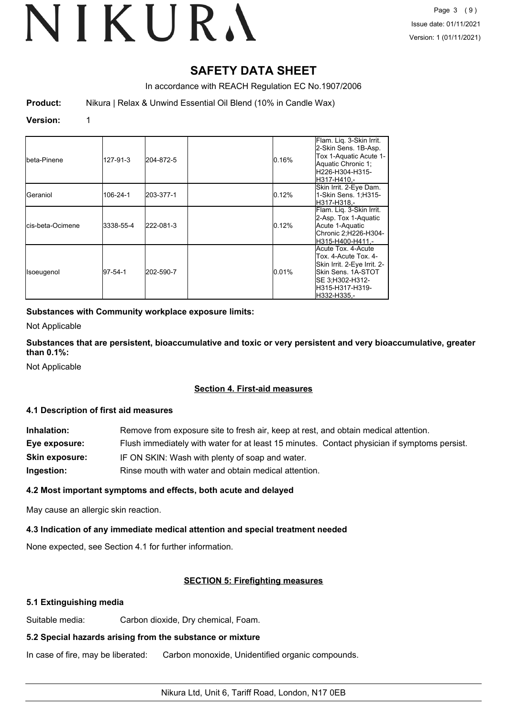# **SAFETY DATA SHEET**

In accordance with REACH Regulation EC No.1907/2006

**Product:** Nikura | Relax & Unwind Essential Oil Blend (10% in Candle Wax)

#### **Version:** 1

| Ibeta-Pinene              | 127-91-3  | 204-872-5 | 0.16% | Flam. Liq. 3-Skin Irrit.<br>2-Skin Sens. 1B-Asp.<br>Tox 1-Aquatic Acute 1-<br>Aquatic Chronic 1;<br>lH226-H304-H315-<br>lH317-H410.-                    |
|---------------------------|-----------|-----------|-------|---------------------------------------------------------------------------------------------------------------------------------------------------------|
| IGeraniol                 | 106-24-1  | 203-377-1 | 0.12% | Skin Irrit. 2-Eye Dam.<br>1-Skin Sens. 1;H315-<br>lH317-H318.-                                                                                          |
| <b>l</b> cis-beta-Ocimene | 3338-55-4 | 222-081-3 | 0.12% | Flam. Lig. 3-Skin Irrit.<br>2-Asp. Tox 1-Aquatic<br>Acute 1-Aquatic<br>Chronic 2;H226-H304-<br>H315-H400-H411.-                                         |
| Isoeugenol                | 197-54-1  | 202-590-7 | 0.01% | Acute Tox. 4-Acute<br>Tox. 4-Acute Tox. 4-<br>Skin Irrit. 2-Eye Irrit. 2-<br>lSkin Sens. 1A-STOT<br>SE 3;H302-H312-<br>lH315-H317-H319-<br>lH332-H335.- |

### **Substances with Community workplace exposure limits:**

Not Applicable

**Substances that are persistent, bioaccumulative and toxic or very persistent and very bioaccumulative, greater than 0.1%:**

Not Applicable

#### **Section 4. First-aid measures**

#### **4.1 Description of first aid measures**

| Inhalation:           | Remove from exposure site to fresh air, keep at rest, and obtain medical attention.          |
|-----------------------|----------------------------------------------------------------------------------------------|
| Eye exposure:         | Flush immediately with water for at least 15 minutes. Contact physician if symptoms persist. |
| <b>Skin exposure:</b> | IF ON SKIN: Wash with plenty of soap and water.                                              |
| Ingestion:            | Rinse mouth with water and obtain medical attention.                                         |

# **4.2 Most important symptoms and effects, both acute and delayed**

May cause an allergic skin reaction.

# **4.3 Indication of any immediate medical attention and special treatment needed**

None expected, see Section 4.1 for further information.

# **SECTION 5: Firefighting measures**

# **5.1 Extinguishing media**

Suitable media: Carbon dioxide, Dry chemical, Foam.

# **5.2 Special hazards arising from the substance or mixture**

In case of fire, may be liberated: Carbon monoxide, Unidentified organic compounds.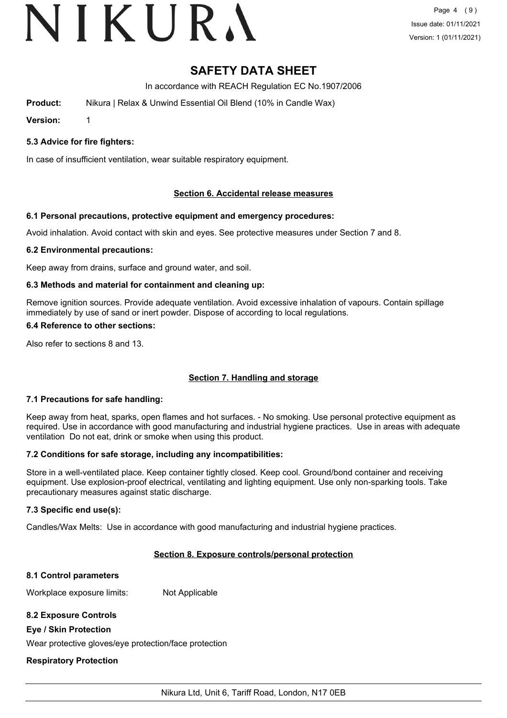# VIKURA

# **SAFETY DATA SHEET**

In accordance with REACH Regulation EC No.1907/2006

**Product:** Nikura | Relax & Unwind Essential Oil Blend (10% in Candle Wax)

**Version:** 1

# **5.3 Advice for fire fighters:**

In case of insufficient ventilation, wear suitable respiratory equipment.

# **Section 6. Accidental release measures**

# **6.1 Personal precautions, protective equipment and emergency procedures:**

Avoid inhalation. Avoid contact with skin and eyes. See protective measures under Section 7 and 8.

# **6.2 Environmental precautions:**

Keep away from drains, surface and ground water, and soil.

# **6.3 Methods and material for containment and cleaning up:**

Remove ignition sources. Provide adequate ventilation. Avoid excessive inhalation of vapours. Contain spillage immediately by use of sand or inert powder. Dispose of according to local regulations.

# **6.4 Reference to other sections:**

Also refer to sections 8 and 13.

# **Section 7. Handling and storage**

# **7.1 Precautions for safe handling:**

Keep away from heat, sparks, open flames and hot surfaces. - No smoking. Use personal protective equipment as required. Use in accordance with good manufacturing and industrial hygiene practices. Use in areas with adequate ventilation Do not eat, drink or smoke when using this product.

# **7.2 Conditions for safe storage, including any incompatibilities:**

Store in a well-ventilated place. Keep container tightly closed. Keep cool. Ground/bond container and receiving equipment. Use explosion-proof electrical, ventilating and lighting equipment. Use only non-sparking tools. Take precautionary measures against static discharge.

# **7.3 Specific end use(s):**

Candles/Wax Melts: Use in accordance with good manufacturing and industrial hygiene practices.

# **Section 8. Exposure controls/personal protection**

# **8.1 Control parameters**

Workplace exposure limits: Not Applicable

# **8.2 Exposure Controls**

# **Eye / Skin Protection**

Wear protective gloves/eye protection/face protection

# **Respiratory Protection**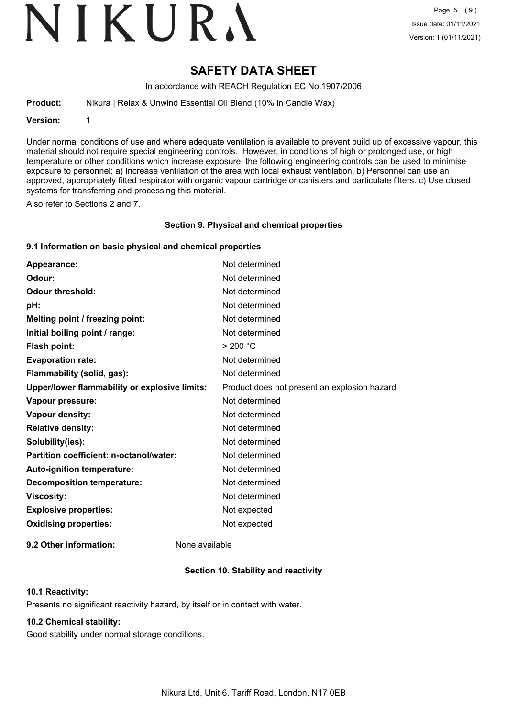# VIKURA

# **SAFETY DATA SHEET**

In accordance with REACH Regulation EC No.1907/2006

**Product:** Nikura | Relax & Unwind Essential Oil Blend (10% in Candle Wax)

**Version:** 1

Under normal conditions of use and where adequate ventilation is available to prevent build up of excessive vapour, this material should not require special engineering controls. However, in conditions of high or prolonged use, or high temperature or other conditions which increase exposure, the following engineering controls can be used to minimise exposure to personnel: a) Increase ventilation of the area with local exhaust ventilation. b) Personnel can use an approved, appropriately fitted respirator with organic vapour cartridge or canisters and particulate filters. c) Use closed systems for transferring and processing this material.

Also refer to Sections 2 and 7.

#### **Section 9. Physical and chemical properties**

#### **9.1 Information on basic physical and chemical properties**

| Appearance:                                   | Not determined                               |
|-----------------------------------------------|----------------------------------------------|
| Odour:                                        | Not determined                               |
| <b>Odour threshold:</b>                       | Not determined                               |
| pH:                                           | Not determined                               |
| Melting point / freezing point:               | Not determined                               |
| Initial boiling point / range:                | Not determined                               |
| <b>Flash point:</b>                           | > 200 °C                                     |
| <b>Evaporation rate:</b>                      | Not determined                               |
| Flammability (solid, gas):                    | Not determined                               |
| Upper/lower flammability or explosive limits: | Product does not present an explosion hazard |
| Vapour pressure:                              | Not determined                               |
| Vapour density:                               | Not determined                               |
| <b>Relative density:</b>                      | Not determined                               |
| Solubility(ies):                              | Not determined                               |
| Partition coefficient: n-octanol/water:       | Not determined                               |
| Auto-ignition temperature:                    | Not determined                               |
| <b>Decomposition temperature:</b>             | Not determined                               |
| <b>Viscosity:</b>                             | Not determined                               |
| <b>Explosive properties:</b>                  | Not expected                                 |
| <b>Oxidising properties:</b>                  | Not expected                                 |
|                                               |                                              |

**9.2 Other information:** None available

# **Section 10. Stability and reactivity**

#### **10.1 Reactivity:**

Presents no significant reactivity hazard, by itself or in contact with water.

#### **10.2 Chemical stability:**

Good stability under normal storage conditions.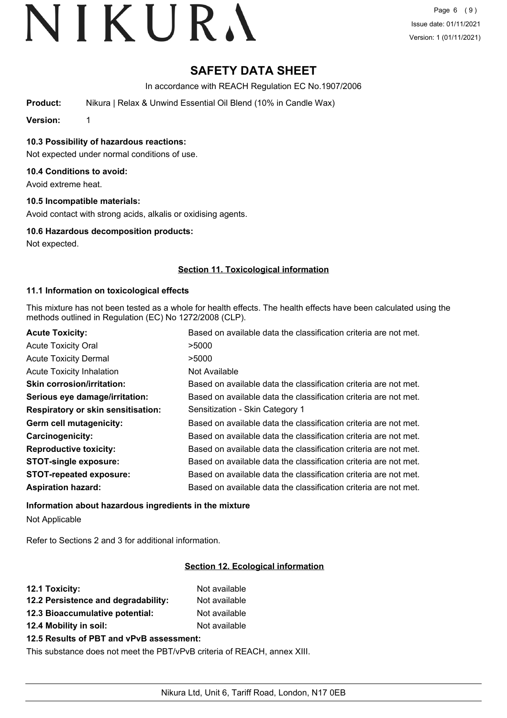# **SAFETY DATA SHEET**

In accordance with REACH Regulation EC No.1907/2006

**Product:** Nikura | Relax & Unwind Essential Oil Blend (10% in Candle Wax)

**Version:** 1

**10.3 Possibility of hazardous reactions:**

Not expected under normal conditions of use.

#### **10.4 Conditions to avoid:**

Avoid extreme heat.

#### **10.5 Incompatible materials:**

Avoid contact with strong acids, alkalis or oxidising agents.

#### **10.6 Hazardous decomposition products:**

Not expected.

### **Section 11. Toxicological information**

#### **11.1 Information on toxicological effects**

This mixture has not been tested as a whole for health effects. The health effects have been calculated using the methods outlined in Regulation (EC) No 1272/2008 (CLP).

| <b>Acute Toxicity:</b>                    | Based on available data the classification criteria are not met. |
|-------------------------------------------|------------------------------------------------------------------|
| <b>Acute Toxicity Oral</b>                | >5000                                                            |
| <b>Acute Toxicity Dermal</b>              | >5000                                                            |
| <b>Acute Toxicity Inhalation</b>          | Not Available                                                    |
| <b>Skin corrosion/irritation:</b>         | Based on available data the classification criteria are not met. |
| Serious eye damage/irritation:            | Based on available data the classification criteria are not met. |
| <b>Respiratory or skin sensitisation:</b> | Sensitization - Skin Category 1                                  |
| Germ cell mutagenicity:                   | Based on available data the classification criteria are not met. |
| Carcinogenicity:                          | Based on available data the classification criteria are not met. |
| <b>Reproductive toxicity:</b>             | Based on available data the classification criteria are not met. |
| <b>STOT-single exposure:</b>              | Based on available data the classification criteria are not met. |
| <b>STOT-repeated exposure:</b>            | Based on available data the classification criteria are not met. |
| <b>Aspiration hazard:</b>                 | Based on available data the classification criteria are not met. |

# **Information about hazardous ingredients in the mixture** Not Applicable

Refer to Sections 2 and 3 for additional information.

# **Section 12. Ecological information**

| Not available |
|---------------|
| Not available |
| Not available |
| Not available |
|               |

# **12.5 Results of PBT and vPvB assessment:**

This substance does not meet the PBT/vPvB criteria of REACH, annex XIII.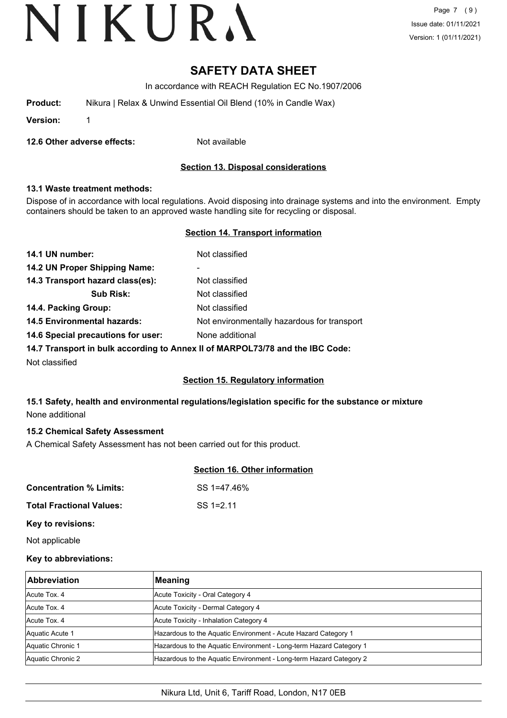Page 7 (9) Issue date: 01/11/2021 Version: 1 (01/11/2021)

# **SAFETY DATA SHEET**

In accordance with REACH Regulation EC No.1907/2006

| Product: | Nikura   Relax & Unwind Essential Oil Blend (10% in Candle Wax) |
|----------|-----------------------------------------------------------------|
|----------|-----------------------------------------------------------------|

**Version:** 1

**12.6 Other adverse effects:** Not available

### **Section 13. Disposal considerations**

#### **13.1 Waste treatment methods:**

Dispose of in accordance with local regulations. Avoid disposing into drainage systems and into the environment. Empty containers should be taken to an approved waste handling site for recycling or disposal.

#### **Section 14. Transport information**

| 14.1 UN number:                    | Not classified                              |
|------------------------------------|---------------------------------------------|
| 14.2 UN Proper Shipping Name:      | $\blacksquare$                              |
| 14.3 Transport hazard class(es):   | Not classified                              |
| <b>Sub Risk:</b>                   | Not classified                              |
| 14.4. Packing Group:               | Not classified                              |
| <b>14.5 Environmental hazards:</b> | Not environmentally hazardous for transport |
| 14.6 Special precautions for user: | None additional                             |
|                                    |                                             |

**14.7 Transport in bulk according to Annex II of MARPOL73/78 and the IBC Code:**

Not classified

#### **Section 15. Regulatory information**

# **15.1 Safety, health and environmental regulations/legislation specific for the substance or mixture** None additional

#### **15.2 Chemical Safety Assessment**

A Chemical Safety Assessment has not been carried out for this product.

#### **Section 16. Other information**

| <b>Concentration % Limits:</b>  | SS 1=47.46%  |
|---------------------------------|--------------|
| <b>Total Fractional Values:</b> | $SS = 12.11$ |

#### **Key to revisions:**

Not applicable

#### **Key to abbreviations:**

| <b>Abbreviation</b> | Meaning                                                            |  |
|---------------------|--------------------------------------------------------------------|--|
| Acute Tox, 4        | Acute Toxicity - Oral Category 4                                   |  |
| Acute Tox, 4        | Acute Toxicity - Dermal Category 4                                 |  |
| Acute Tox, 4        | Acute Toxicity - Inhalation Category 4                             |  |
| Aquatic Acute 1     | Hazardous to the Aquatic Environment - Acute Hazard Category 1     |  |
| Aquatic Chronic 1   | Hazardous to the Aquatic Environment - Long-term Hazard Category 1 |  |
| Aquatic Chronic 2   | Hazardous to the Aquatic Environment - Long-term Hazard Category 2 |  |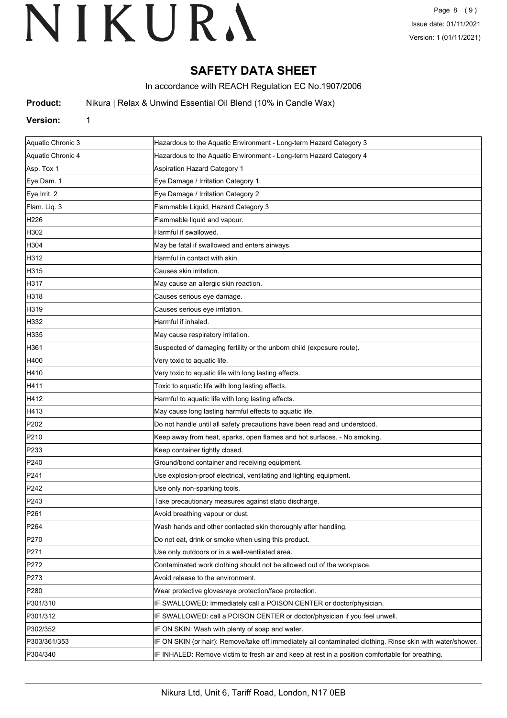# **SAFETY DATA SHEET**

In accordance with REACH Regulation EC No.1907/2006

**Product:** Nikura | Relax & Unwind Essential Oil Blend (10% in Candle Wax)

#### **Version:** 1

| Aquatic Chronic 3 | Hazardous to the Aquatic Environment - Long-term Hazard Category 3                                         |
|-------------------|------------------------------------------------------------------------------------------------------------|
| Aquatic Chronic 4 | Hazardous to the Aquatic Environment - Long-term Hazard Category 4                                         |
| Asp. Tox 1        | <b>Aspiration Hazard Category 1</b>                                                                        |
| Eye Dam. 1        | Eye Damage / Irritation Category 1                                                                         |
| Eye Irrit. 2      | Eye Damage / Irritation Category 2                                                                         |
| Flam. Liq. 3      | Flammable Liquid, Hazard Category 3                                                                        |
| H226              | Flammable liquid and vapour.                                                                               |
| H302              | Harmful if swallowed.                                                                                      |
| H304              | May be fatal if swallowed and enters airways.                                                              |
| H312              | Harmful in contact with skin.                                                                              |
| H315              | Causes skin irritation.                                                                                    |
| H317              | May cause an allergic skin reaction.                                                                       |
| H318              | Causes serious eye damage.                                                                                 |
| H319              | Causes serious eye irritation.                                                                             |
| H332              | Harmful if inhaled.                                                                                        |
| H335              | May cause respiratory irritation.                                                                          |
| H361              | Suspected of damaging fertility or the unborn child (exposure route).                                      |
| H400              | Very toxic to aquatic life.                                                                                |
| H410              | Very toxic to aquatic life with long lasting effects.                                                      |
| H411              | Toxic to aquatic life with long lasting effects.                                                           |
| H412              | Harmful to aquatic life with long lasting effects.                                                         |
| H413              | May cause long lasting harmful effects to aquatic life.                                                    |
| P <sub>202</sub>  | Do not handle until all safety precautions have been read and understood.                                  |
| P210              | Keep away from heat, sparks, open flames and hot surfaces. - No smoking.                                   |
| P233              | Keep container tightly closed.                                                                             |
| P240              | Ground/bond container and receiving equipment.                                                             |
| P241              | Use explosion-proof electrical, ventilating and lighting equipment.                                        |
| P242              | Use only non-sparking tools.                                                                               |
| P243              | Take precautionary measures against static discharge.                                                      |
| P261              | Avoid breathing vapour or dust.                                                                            |
| P <sub>264</sub>  | Wash hands and other contacted skin thoroughly after handling.                                             |
| P270              | Do not eat, drink or smoke when using this product.                                                        |
| P271              | Use only outdoors or in a well-ventilated area.                                                            |
| P272              | Contaminated work clothing should not be allowed out of the workplace.                                     |
| P273              | Avoid release to the environment.                                                                          |
| P280              | Wear protective gloves/eye protection/face protection.                                                     |
| P301/310          | IF SWALLOWED: Immediately call a POISON CENTER or doctor/physician.                                        |
| P301/312          | IF SWALLOWED: call a POISON CENTER or doctor/physician if you feel unwell.                                 |
| P302/352          | IF ON SKIN: Wash with plenty of soap and water.                                                            |
| P303/361/353      | IF ON SKIN (or hair): Remove/take off immediately all contaminated clothing. Rinse skin with water/shower. |
| P304/340          | IF INHALED: Remove victim to fresh air and keep at rest in a position comfortable for breathing.           |